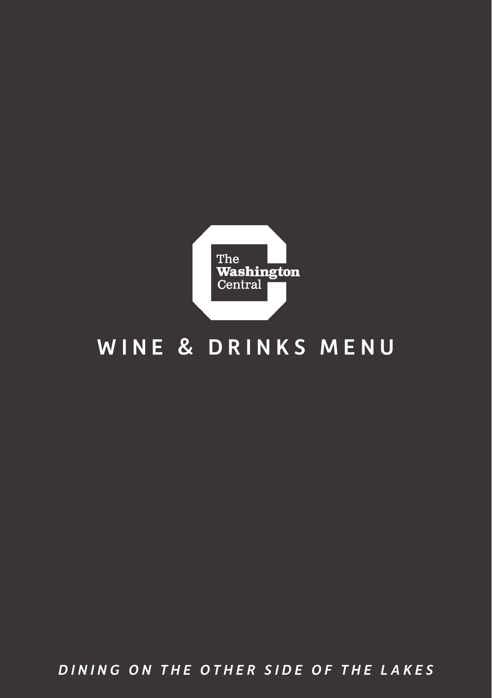

## WINE & DRINKS MENU

*DINING ON THE OTHER SIDE OF THE LAKES*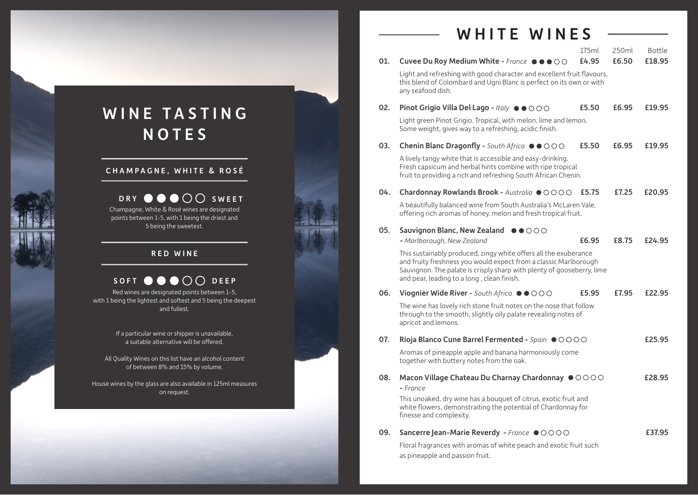### WHITE WINES

| 01. | Cuvee Du Roy Medium White - France ●●●○○                                                                                                                                                                                                                     | 175ml<br>£4.95 | 250ml<br>£6.50 | Bottle<br>£18.95 |
|-----|--------------------------------------------------------------------------------------------------------------------------------------------------------------------------------------------------------------------------------------------------------------|----------------|----------------|------------------|
|     | Light and refreshing with good character and excellent fruit flavours,<br>this blend of Colombard and Ugni Blanc is perfect on its own or with<br>any seafood dish.                                                                                          |                |                |                  |
| 02. | Pinot Grigio Villa Del Lago - Italy ●●○○○                                                                                                                                                                                                                    | £5.50          | £6.95          | £19.95           |
|     | Light green Pinot Grigio. Tropical, with melon, lime and lemon.<br>Some weight, gives way to a refreshing, acidic finish.                                                                                                                                    |                |                |                  |
| 03. | Chenin Blanc Dragonfly - South Africa $\bullet$ $\bullet$ OOO                                                                                                                                                                                                | £5.50          | £6.95          | £19.95           |
|     | A lively tangy white that is accessible and easy-drinking.<br>Fresh capsicum and herbal hints combine with ripe tropical<br>fruit to providing a rich and refreshing South African Chenin.                                                                   |                |                |                  |
| 04. | Chardonnay Rowlands Brook - Australia OOOOO                                                                                                                                                                                                                  | £5.75          | £7.25          | £20.95           |
|     | A beautifully balanced wine from South Australia's McLaren Vale,<br>offering rich aromas of honey, melon and fresh tropical fruit.                                                                                                                           |                |                |                  |
| 05. | Sauvignon Blanc, New Zealand ●●○○○                                                                                                                                                                                                                           |                |                |                  |
|     | - Marlborough, New Zealand                                                                                                                                                                                                                                   | £6.95          | £8.75          | £24.95           |
|     | This sustainably produced, zingy white offers all the exuberance<br>and fruity freshness you would expect from a classic Marlborough<br>Sauvignon. The palate is crisply sharp with plenty of gooseberry, lime<br>and pear, leading to a long, clean finish. |                |                |                  |
| 06. | Viognier Wide River - South Africa ●●○○○                                                                                                                                                                                                                     | £5.95          | £7.95          | £22.95           |
|     | The wine has lovely rich stone fruit notes on the nose that follow<br>through to the smooth, slightly oily palate revealing notes of<br>apricot and lemons.                                                                                                  |                |                |                  |
| 07. | Rioja Blanco Cune Barrel Fermented - Spain $\bullet$ OOOO                                                                                                                                                                                                    |                |                | £25.95           |
|     | Aromas of pineapple apple and banana harmoniously come<br>together with buttery notes from the oak.                                                                                                                                                          |                |                |                  |
| 08. | Macon Village Chateau Du Charnay Chardonnay $\bullet$ $\circ$ $\circ$ $\circ$ $\circ$<br>- France                                                                                                                                                            |                |                | £28.95           |
|     | This unoaked, dry wine has a bouquet of citrus, exotic fruit and<br>white flowers, demonstraiting the potential of Chardonnay for<br>finesse and complexity.                                                                                                 |                |                |                  |
| 09. | Sancerre Jean-Marie Reverdy - France OOOOO                                                                                                                                                                                                                   |                |                | £37.95           |
|     | Floral fragrances with aromas of white peach and exotic fruit such<br>as pineapple and passion fruit.                                                                                                                                                        |                |                |                  |

# WINE TASTING NOTES

#### CHAMPAGNE, WHITE & ROSÉ

#### Champagne, White & Rosé wines are designated points between 1-5, with 1 being the driest and 5 being the sweetest. DRY  $\bullet \bullet \bullet \circ \circ$  sweet

#### RED WINE

#### SOFT  $\bullet \bullet \bullet \circ \circ$

Red wines are designated points between 1-5, with 1 being the lightest and softest and 5 being the deepest and fullest.

> If a particular wine or shipper is unavailable, a suitable alternative will be offered.

All Quality Wines on this list have an alcohol content of between 8% and 15% by volume.

House wines by the glass are also available in 125ml measures on request.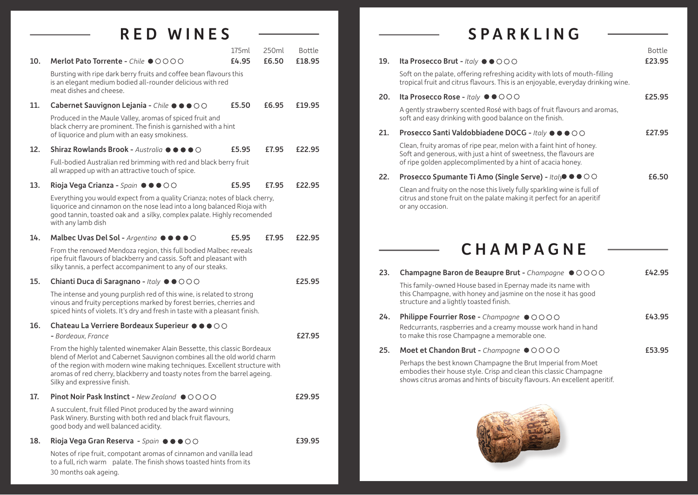#### RED WINES

|     |                                                                                                                                                                                                                                                                                                                                                | 175ml | 250ml | <b>Bottle</b> |
|-----|------------------------------------------------------------------------------------------------------------------------------------------------------------------------------------------------------------------------------------------------------------------------------------------------------------------------------------------------|-------|-------|---------------|
| 10. | Merlot Pato Torrente - Chile ●○○○○                                                                                                                                                                                                                                                                                                             | £4.95 | £6.50 | £18.95        |
|     | Bursting with ripe dark berry fruits and coffee bean flavours this<br>is an elegant medium bodied all-rounder delicious with red<br>meat dishes and cheese.                                                                                                                                                                                    |       |       |               |
| 11. | Cabernet Sauvignon Lejania - Chile $\bullet \bullet \bullet \circ \circ$                                                                                                                                                                                                                                                                       | £5.50 | £6.95 | £19.95        |
|     | Produced in the Maule Valley, aromas of spiced fruit and<br>black cherry are prominent. The finish is garnished with a hint<br>of liquorice and plum with an easy smokiness.                                                                                                                                                                   |       |       |               |
| 12. | Shiraz Rowlands Brook - Australia $\bullet \bullet \bullet \bullet \circ$                                                                                                                                                                                                                                                                      | £5.95 | £7.95 | £22.95        |
|     | Full-bodied Australian red brimming with red and black berry fruit<br>all wrapped up with an attractive touch of spice.                                                                                                                                                                                                                        |       |       |               |
| 13. | Rioja Vega Crianza - Spain ●●●○○                                                                                                                                                                                                                                                                                                               | £5.95 | £7.95 | £22.95        |
|     | Everything you would expect from a quality Crianza; notes of black cherry,<br>liguorice and cinnamon on the nose lead into a long balanced Rioja with<br>good tannin, toasted oak and a silky, complex palate. Highly recomended<br>with any lamb dish                                                                                         |       |       |               |
| 14. | Malbec Uvas Del Sol - Argentina $\bullet \bullet \bullet \bullet \circ$                                                                                                                                                                                                                                                                        | £5.95 | £7.95 | £22.95        |
|     | From the renowed Mendoza region, this full bodied Malbec reveals<br>ripe fruit flavours of blackberry and cassis. Soft and pleasant with<br>silky tannis, a perfect accompaniment to any of our steaks.                                                                                                                                        |       |       |               |
| 15. | Chianti Duca di Saragnano - Italy $\bullet$ $\bullet$ $\circ$ $\circ$ $\circ$                                                                                                                                                                                                                                                                  |       |       | £25.95        |
|     | The intense and young purplish red of this wine, is related to strong<br>vinous and fruity perceptions marked by forest berries, cherries and<br>spiced hints of violets. It's dry and fresh in taste with a pleasant finish.                                                                                                                  |       |       |               |
| 16. | Chateau La Verriere Bordeaux Superieur $\bullet \bullet \bullet \circ \circ$                                                                                                                                                                                                                                                                   |       |       |               |
|     | - Bordeaux, France                                                                                                                                                                                                                                                                                                                             |       |       | £27.95        |
|     | From the highly talented winemaker Alain Bessette, this classic Bordeaux<br>blend of Merlot and Cabernet Sauvignon combines all the old world charm<br>of the region with modern wine making techniques. Excellent structure with<br>aromas of red cherry, blackberry and toasty notes from the barrel ageing.<br>Silky and expressive finish. |       |       |               |
| 17. | Pinot Noir Pask Instinct - New Zealand ●○○○○                                                                                                                                                                                                                                                                                                   |       |       | £29.95        |
|     | A succulent, fruit filled Pinot produced by the award winning<br>Pask Winery. Bursting with both red and black fruit flavours,<br>good body and well balanced acidity.                                                                                                                                                                         |       |       |               |
| 18. | Rioja Vega Gran Reserva - Spain $\bullet \bullet \bullet \circ \circ$                                                                                                                                                                                                                                                                          |       |       | £39.95        |
|     | Notes of ripe fruit, compotant aromas of cinnamon and vanilla lead<br>to a full, rich warm palate. The finish shows toasted hints from its<br>30 months oak ageing.                                                                                                                                                                            |       |       |               |

# SPARKLING

 $\overline{\phantom{0}}$ 

| 20. | Soft on the palate, offering refreshing acidity with lots of mouth-filling<br>tropical fruit and citrus flavours. This is an enjoyable, everyday drinking wine.                                           |        |
|-----|-----------------------------------------------------------------------------------------------------------------------------------------------------------------------------------------------------------|--------|
|     |                                                                                                                                                                                                           |        |
|     | Ita Prosecco Rose - Italy ●●○○○                                                                                                                                                                           | £25.95 |
|     | A gently strawberry scented Rosé with bags of fruit flavours and aromas,<br>soft and easy drinking with good balance on the finish.                                                                       |        |
| 21. | Prosecco Santi Valdobbiadene DOCG - Italy ● ● ● ○ ○                                                                                                                                                       | £27.95 |
|     | Clean, fruity aromas of ripe pear, melon with a faint hint of honey.<br>Soft and generous, with just a hint of sweetness, the flavours are<br>of ripe golden applecomplimented by a hint of acacia honey. |        |
| 22. | Prosecco Spumante Ti Amo (Single Serve) - Italy ● ● ○ ○                                                                                                                                                   | £6.50  |
|     | Clean and fruity on the nose this lively fully sparkling wine is full of<br>citrus and stone fruit on the palate making it perfect for an aperitif<br>or any occasion.                                    |        |
| 23. | Champagne Baron de Beaupre Brut - Champagne $\bullet$ OOOO                                                                                                                                                |        |
|     |                                                                                                                                                                                                           |        |
|     | This family-owned House based in Epernay made its name with<br>this Champagne, with honey and jasmine on the nose it has good<br>structure and a lightly toasted finish.                                  | £42.95 |
| 24. | Philippe Fourrier Rose - Champagne ●○○○○                                                                                                                                                                  | £43.95 |
|     | Redcurrants, raspberries and a creamy mousse work hand in hand<br>to make this rose Champagne a memorable one.                                                                                            |        |
| 25. | Moet et Chandon Brut - Champagne OOOOO                                                                                                                                                                    | £53.95 |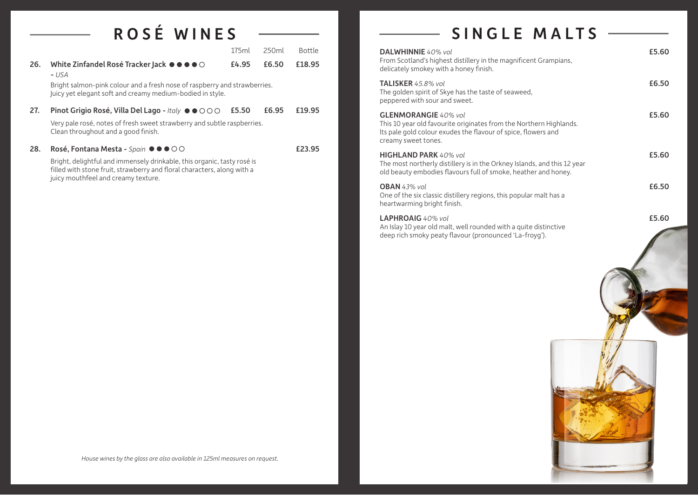# ROS É WINES

|     |                                                                                                                                                                                           | 175ml | 250ml | Bottle |
|-----|-------------------------------------------------------------------------------------------------------------------------------------------------------------------------------------------|-------|-------|--------|
| 26. | White Zinfandel Rosé Tracker Jack $\bullet \bullet \bullet \bullet \circ$<br>- USA                                                                                                        | £4.95 | £6.50 | £18.95 |
|     | Bright salmon-pink colour and a fresh nose of raspberry and strawberries.<br>Juicy yet elegant soft and creamy medium-bodied in style.                                                    |       |       |        |
| 27. | <b>Pinot Grigio Rosé, Villa Del Lago - Italy <math>\bullet \bullet \circ \circ \circ</math></b>                                                                                           | £5.50 | £6.95 | £19.95 |
|     | Very pale rosé, notes of fresh sweet strawberry and subtle raspberries.<br>Clean throughout and a good finish.                                                                            |       |       |        |
| 28. | Rosé, Fontana Mesta - Spain ●●●○○                                                                                                                                                         |       |       | £23.95 |
|     | Bright, delightful and immensely drinkable, this organic, tasty rosé is<br>filled with stone fruit, strawberry and floral characters, along with a<br>juicy mouthfeel and creamy texture. |       |       |        |
|     |                                                                                                                                                                                           |       |       |        |

## SINGLE MALTS --

| DALWHINNIE 40% vol<br>From Scotland's highest distillery in the magnificent Grampians,<br>delicately smokey with a honey finish.                                                          | £5.60 |
|-------------------------------------------------------------------------------------------------------------------------------------------------------------------------------------------|-------|
| <b>TALISKER</b> 45.8% vol<br>The golden spirit of Skye has the taste of seaweed,<br>peppered with sour and sweet.                                                                         | £6.50 |
| <b>GLENMORANGIE</b> 40% vol<br>This 10 year old favourite originates from the Northern Highlands.<br>Its pale gold colour exudes the flavour of spice, flowers and<br>creamy sweet tones. | £5.60 |
| <b>HIGHLAND PARK</b> 40% vol<br>The most northerly distillery is in the Orkney Islands, and this 12 year<br>old beauty embodies flavours full of smoke, heather and honey.                | £5.60 |
| <b>OBAN</b> 43% vol<br>One of the six classic distillery regions, this popular malt has a<br>heartwarming bright finish.                                                                  | £6.50 |
| <b>LAPHROAIG</b> 40% vol<br>An Islay 10 year old malt, well rounded with a quite distinctive<br>deep rich smoky peaty flavour (pronounced 'La-froyg').                                    | £5.60 |



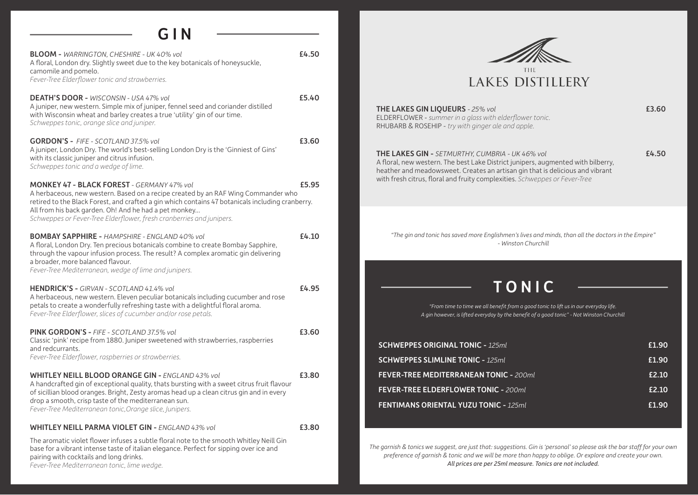#### GIN

| <b>BLOOM - WARRINGTON, CHESHIRE - UK 40% vol</b><br>A floral, London dry. Slightly sweet due to the key botanicals of honeysuckle,<br>camomile and pomelo.<br>Fever-Tree Elderflower tonic and strawberries.                                                                                                                                                                | £4.50 |
|-----------------------------------------------------------------------------------------------------------------------------------------------------------------------------------------------------------------------------------------------------------------------------------------------------------------------------------------------------------------------------|-------|
| DEATH'S DOOR - WISCONSIN - USA 47% vol<br>A juniper, new western. Simple mix of juniper, fennel seed and coriander distilled<br>with Wisconsin wheat and barley creates a true 'utility' gin of our time.<br>Schweppes tonic, orange slice and juniper.                                                                                                                     | £5.40 |
| <b>GORDON'S - FIFE - SCOTLAND 37.5% vol</b><br>A juniper, London Dry. The world's best-selling London Dry is the 'Ginniest of Gins'<br>with its classic juniper and citrus infusion.<br>Schweppes tonic and a wedge of lime.                                                                                                                                                | £3.60 |
| <b>MONKEY 47 - BLACK FOREST - GERMANY 47% vol</b><br>A herbaceous, new western. Based on a recipe created by an RAF Wing Commander who<br>retired to the Black Forest, and crafted a gin which contains 47 botanicals including cranberry.<br>All from his back garden. Oh! And he had a pet monkey<br>Schweppes or Fever-Tree Elderflower, fresh cranberries and junipers. | £5.95 |
| <b>BOMBAY SAPPHIRE - HAMPSHIRE - ENGLAND 40% vol</b><br>A floral, London Dry. Ten precious botanicals combine to create Bombay Sapphire,<br>through the vapour infusion process. The result? A complex aromatic gin delivering<br>a broader, more balanced flavour.<br>Fever-Tree Mediterranean, wedge of lime and junipers.                                                | £4.10 |
| <b>HENDRICK'S - GIRVAN - SCOTLAND 41.4% vol</b><br>A herbaceous, new western. Eleven peculiar botanicals including cucumber and rose<br>petals to create a wonderfully refreshing taste with a delightful floral aroma.<br>Fever-Tree Elderflower, slices of cucumber and/or rose petals.                                                                                   | £4.95 |
| <b>PINK GORDON'S - FIFE - SCOTLAND 37.5% vol</b><br>Classic 'pink' recipe from 1880. Juniper sweetened with strawberries, raspberries<br>and redcurrants.<br>Fever-Tree Elderflower, raspberries or strawberries.                                                                                                                                                           | £3.60 |
| <b>WHITLEY NEILL BLOOD ORANGE GIN - ENGLAND 43% vol</b><br>A handcrafted gin of exceptional quality, thats bursting with a sweet citrus fruit flavour<br>of sicillian blood oranges. Bright, Zesty aromas head up a clean citrus gin and in every<br>drop a smooth, crisp taste of the mediterranean sun.<br>Fever-Tree Mediterranean tonic, Orange slice, Junipers.        | £3.80 |
| <b>WHITLEY NEILL PARMA VIOLET GIN - ENGLAND 43% vol</b>                                                                                                                                                                                                                                                                                                                     | £3.80 |
| The aromatic violet flower infuses a subtle floral note to the smooth Whitley Neill Gin<br>base for a vibrant intense taste of italian elegance. Perfect for sipping over ice and<br>pairing with cocktails and long drinks.<br>Fever-Tree Mediterranean tonic. lime wedae.                                                                                                 |       |



THE LAKES GIN LIQUEURS *- 25% vol* **EXAMPLE 25% FOR EXAMPLE 25% FOR EXAMPLE 25% FOR EXAMPLE 25% FOR EXAMPLE 25% FOR EXAMPLE 25% FOR EXAMPLE 25% FOR EXAMPLE 25% FOR EXAMPLE 25% FOR EXAMPLE 25% FOR EXAMPLE 25% FOR EXAMPLE 25** ELDERFLOWER - *summer in a glass with elderflower tonic.* RHUBARB & ROSEHIP - *try with ginger ale and apple.*

THE LAKES GIN - *SETMURTHY, CUMBRIA - UK 46% vol* **E4.50** A floral, new western. The best Lake District junipers, augmented with bilberry, heather and meadowsweet. Creates an artisan gin that is delicious and vibrant with fresh citrus, floral and fruity complexities. *Schweppes or Fever-Tree* 

*"The gin and tonic has saved more Englishmen's lives and minds, than all the doctors in the Empire" - Winston Churchill*

### TONIC

*"From time to time we all benefit from a good tonic to lift us in our everyday life. A gin however, is lifted everyday by the benefit of a good tonic" - Not Winston Churchill*

| <b>SCHWEPPES ORIGINAL TONIC - 125ml</b>       | £1.90 |
|-----------------------------------------------|-------|
| <b>SCHWEPPES SLIMLINE TONIC - 125ml</b>       | £1.90 |
| <b>FEVER-TREE MEDITERRANEAN TONIC - 200ml</b> | £2.10 |
| <b>FEVER-TREE ELDERFLOWER TONIC - 200ml</b>   | £2.10 |
| <b>FENTIMANS ORIENTAL YUZU TONIC - 125ml</b>  | £1.90 |

*The garnish & tonics we suggest, are just that: suggestions. Gin is 'personal' so please ask the bar staff for your own preference of garnish & tonic and we will be more than happy to oblige. Or explore and create your own. All prices are per 25ml measure. Tonics are not included.*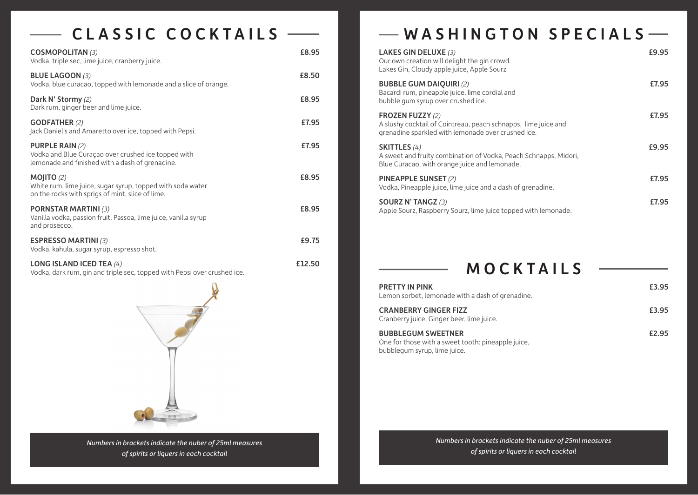# CLASSIC COCKTAILS -

 $\overline{\phantom{a}}$ 

| <b>COSMOPOLITAN (3)</b><br>Vodka, triple sec, lime juice, cranberry juice.                                                       | £8.95  |
|----------------------------------------------------------------------------------------------------------------------------------|--------|
| <b>BLUE LAGOON (3)</b><br>Vodka, blue curacao, topped with lemonade and a slice of orange.                                       | £8.50  |
| Dark N' Stormy (2)<br>Dark rum, ginger beer and lime juice.                                                                      | £8.95  |
| <b>GODFATHER (2)</b><br>Jack Daniel's and Amaretto over ice, topped with Pepsi.                                                  | £7.95  |
| <b>PURPLE RAIN (2)</b><br>Vodka and Blue Curaçao over crushed ice topped with<br>lemonade and finished with a dash of grenadine. | £7.95  |
| MOJITO $(2)$<br>White rum, lime juice, sugar syrup, topped with soda water<br>on the rocks with sprigs of mint, slice of lime.   | £8.95  |
| <b>PORNSTAR MARTINI (3)</b><br>Vanilla vodka, passion fruit, Passoa, lime juice, vanilla syrup<br>and prosecco.                  | £8.95  |
| <b>ESPRESSO MARTINI (3)</b><br>Vodka, kahula, sugar syrup, espresso shot.                                                        | £9.75  |
| LONG ISLAND ICED TEA $(4)$<br>Vodka, dark rum, gin and triple sec, topped with Pepsi over crushed ice.                           | £12.50 |
|                                                                                                                                  |        |

*Numbers in brackets indicate the nuber of 25ml measures of spirits or liquers in each cocktail*

# WASHINGTON SPECIALS

| <b>LAKES GIN DELUXE (3)</b><br>Our own creation will delight the gin crowd.<br>Lakes Gin, Cloudy apple juice, Apple Sourz                       | £9.95 |
|-------------------------------------------------------------------------------------------------------------------------------------------------|-------|
| <b>BUBBLE GUM DAIQUIRI (2)</b><br>Bacardi rum, pineapple juice, lime cordial and<br>bubble gum syrup over crushed ice.                          | £7.95 |
| <b>FROZEN FUZZY (2)</b><br>A slushy cocktail of Cointreau, peach schnapps, lime juice and<br>grenadine sparkled with lemonade over crushed ice. | £7.95 |
| <b>SKITTLES</b> (4)<br>A sweet and fruity combination of Vodka, Peach Schnapps, Midori,<br>Blue Curacao, with orange juice and lemonade.        | £9.95 |
| PINEAPPLE SUNSET (2)<br>Vodka, Pineapple juice, lime juice and a dash of grenadine.                                                             | £7.95 |
| <b>SOURZ N' TANGZ (3)</b><br>Apple Sourz, Raspberry Sourz, lime juice topped with lemonade.                                                     | £7.95 |

### MOCKTAILS

| <b>PRETTY IN PINK</b><br>Lemon sorbet, lemonade with a dash of grenadine.                                       | £3.95 |
|-----------------------------------------------------------------------------------------------------------------|-------|
| <b>CRANBERRY GINGER FIZZ</b><br>Cranberry juice, Ginger beer, lime juice.                                       | £3.95 |
| <b>BUBBLEGUM SWEETNER</b><br>One for those with a sweet tooth: pineapple juice,<br>bubblegum syrup, lime juice. | £2.95 |

*Numbers in brackets indicate the nuber of 25ml measures of spirits or liquers in each cocktail*